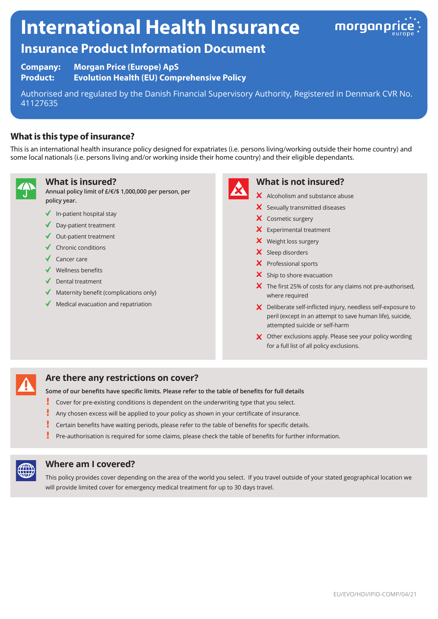# **International Health Insurance**



# **Insurance Product Information Document**

**Company: Morgan Price (Europe) ApS Product: Evolution Health (EU) Comprehensive Policy**

Authorised and regulated by the Danish Financial Supervisory Authority, Registered in Denmark CVR No. 41127635

# **What is this type of insurance?**

This is an international health insurance policy designed for expatriates (i.e. persons living/working outside their home country) and some local nationals (i.e. persons living and/or working inside their home country) and their eligible dependants.



#### **What is insured?**

**Annual policy limit of £/€/\$ 1,000,000 per person, per policy year.**

- $\checkmark$  In-patient hospital stay
- ◆ Day-patient treatment
- Out-patient treatment
- $\checkmark$  Chronic conditions
- $\sqrt{\phantom{a}}$  Cancer care
- $\checkmark$  Wellness benefits
- $\sqrt{\phantom{a}}$  Dental treatment
- $\blacklozenge$  Maternity benefit (complications only)
- $\blacklozenge$  Medical evacuation and repatriation



#### **What is not insured?**

- $\boldsymbol{\times}$  Alcoholism and substance abuse
- X Sexually transmitted diseases
- X Cosmetic surgery
- $\times$  Experimental treatment
- X Weight loss surgery
- X Sleep disorders
- $\times$  Professional sports
- $\mathsf{\times}$  Ship to shore evacuation
- $\boldsymbol{\times}$  The first 25% of costs for any claims not pre-authorised, where required
- X Deliberate self-inflicted injury, needless self-exposure to peril (except in an attempt to save human life), suicide, attempted suicide or self-harm
- X Other exclusions apply. Please see your policy wording for a full list of all policy exclusions.

# **Are there any restrictions on cover?**

**Some of our benefits have specific limits. Please refer to the table of benefits for full details**

- ŗ. Cover for pre-existing conditions is dependent on the underwriting type that you select.
- Any chosen excess will be applied to your policy as shown in your certificate of insurance.
- L Certain benefits have waiting periods, please refer to the table of benefits for specific details.
- Pre-authorisation is required for some claims, please check the table of benefits for further information.



## **Where am I covered?**

This policy provides cover depending on the area of the world you select. If you travel outside of your stated geographical location we will provide limited cover for emergency medical treatment for up to 30 days travel.